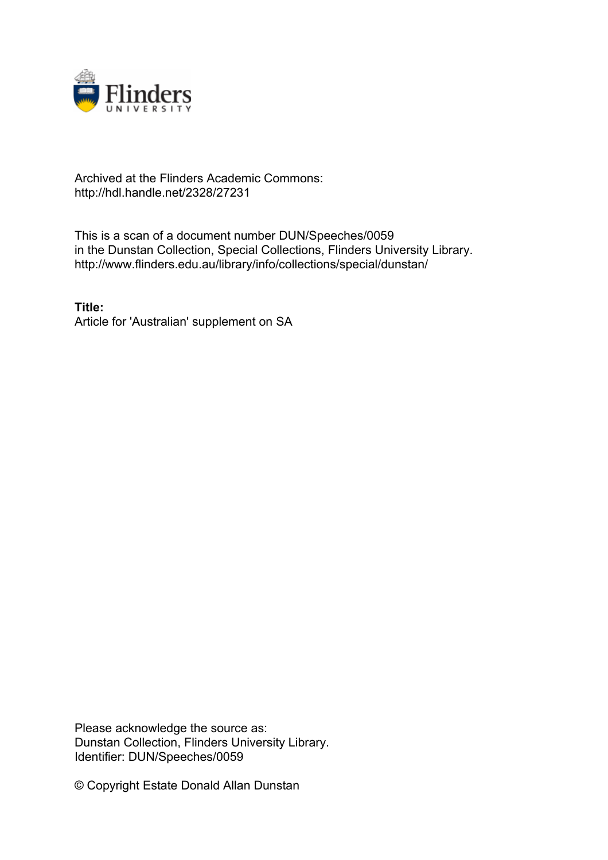

## Archived at the Flinders Academic Commons: http://hdl.handle.net/2328/27231

This is a scan of a document number DUN/Speeches/0059 in the Dunstan Collection, Special Collections, Flinders University Library. http://www.flinders.edu.au/library/info/collections/special/dunstan/

**Title:** Article for 'Australian' supplement on SA

Please acknowledge the source as: Dunstan Collection, Flinders University Library. Identifier: DUN/Speeches/0059

© Copyright Estate Donald Allan Dunstan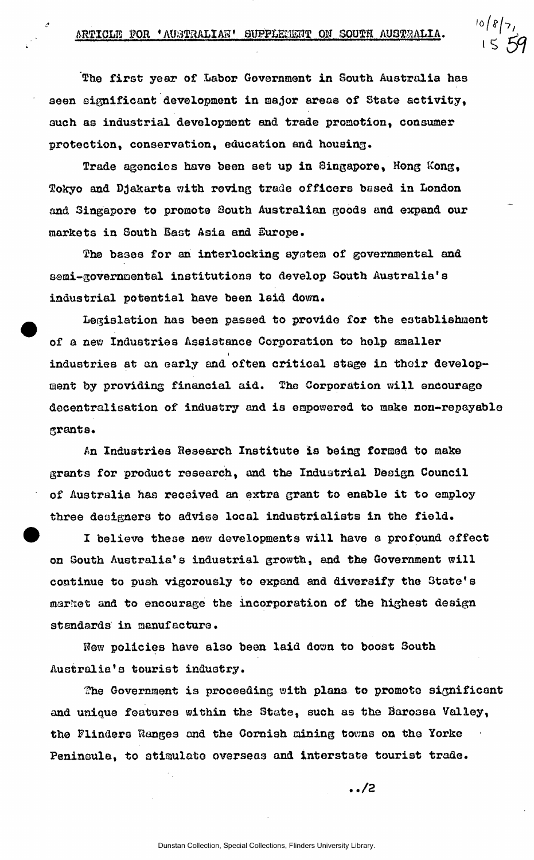o / 8 / 7 ,

The first year of Labor Government in South Australia has seen significant development in major areas of State activity, such as industrial development and trade promotion, consumer protection, conservation, education and housing.

Trade agencies have been set up in Singapore, Hong Kong, Tokyo and Djakarta with roving trade officers based in London and Singapore to promote South Australian goods and expand our markets in South Bast Asia and Europe.

The bases for an interlocking system of governmental and semi-governmental institutions to develop South Australia's industrial potential have been laid down.

Legislation has been passed to provide for the establishment of a new Industries Assistance Corporation to help smaller i industries at an early and often critical stage in their development by providing financial aid. The Corporation will encourage decentralisation of industry and is empowered to make non-repayable grants.

An Industries Research Institute is being formed to make grants for product research, and the Industrial Design Council of Australia has received an extra grant to enable it to employ three designers to advise local industrialists in the field.

I believe these new developments will have a profound effect on South Australia's industrial growth, and the Government will continue to push vigorously to expand and diversify the State's market and to encourage the incorporation of the highest design standards in manufacture.

New policies have also been laid down to boost South Australia's tourist industry.

The Government is proceeding with plans to promote significant and unique features within the State, such as the Baroosa Valley, the Flinders Ranges and the Cornish mining tovma on the Yorke Peninsula, to otiaulato overseas and interstate tourist trade.

**. ./2**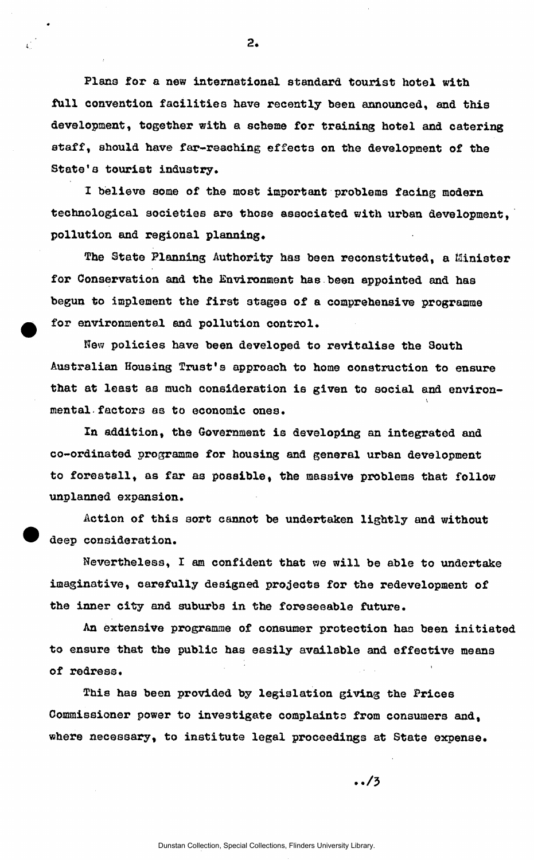Piano for a new international standard tourist hotel with full convention facilities have recently been announced, and this development, together with a scheme for training hotel and catering staff, should have far-reaching effects on the development of the State's tourist industry.

I believe some of the most important problems facing modern technological societies are those associated with urban development. pollution and regional planning.

The State Planning Authority has been reconstituted, a Minister for Conservation and the Environment has been appointed and has begun to implement the first stages of a comprehensive programme for environmental and pollution control.

Hew policies have been developed to revitalise the 3outh Australian Housing Trust\*s approach to home construction to ensure that at least as much consideration is given to social and environ-V mental factors as to economic ones.

In addition, the Government is developing an integrated and co-ordinated programme for housing and general urban development to forestall, as far as possible, the massive problems that follow unplanned expansion.

Action of this sort cannot be undertaken lightly and without deep consideration.

Nevertheless, I am confident that we will be able to undertake imaginative, carefully designed projects for the redevelopment of the inner city and suburbs in the foreseeable future.

An extensive programme of consumer protection has been initiated to ensure that the public has easily available and effective means of redress.

This has been provided by legislation giving the Prices Commissioner power to investigate complaints from consumers and, where necessary, to institute legal proceedings at State expense.

 $.13$ 

 $2.$